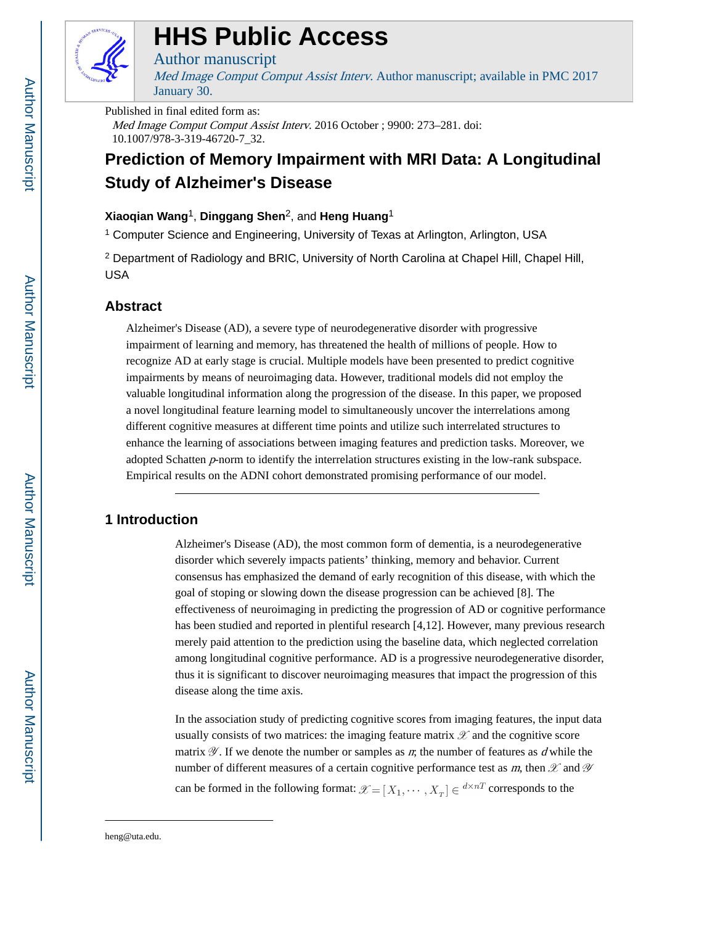

# **HHS Public Access**

## Author manuscript

Med Image Comput Comput Assist Interv. Author manuscript; available in PMC 2017 January 30.

#### Published in final edited form as:

Med Image Comput Comput Assist Interv. 2016 October ; 9900: 273–281. doi: 10.1007/978-3-319-46720-7\_32.

## **Prediction of Memory Impairment with MRI Data: A Longitudinal Study of Alzheimer's Disease**

## **Xiaoqian Wang**1, **Dinggang Shen**2, and **Heng Huang**<sup>1</sup>

<sup>1</sup> Computer Science and Engineering, University of Texas at Arlington, Arlington, USA

<sup>2</sup> Department of Radiology and BRIC, University of North Carolina at Chapel Hill, Chapel Hill, USA

## **Abstract**

Alzheimer's Disease (AD), a severe type of neurodegenerative disorder with progressive impairment of learning and memory, has threatened the health of millions of people. How to recognize AD at early stage is crucial. Multiple models have been presented to predict cognitive impairments by means of neuroimaging data. However, traditional models did not employ the valuable longitudinal information along the progression of the disease. In this paper, we proposed a novel longitudinal feature learning model to simultaneously uncover the interrelations among different cognitive measures at different time points and utilize such interrelated structures to enhance the learning of associations between imaging features and prediction tasks. Moreover, we adopted Schatten  $p$ -norm to identify the interrelation structures existing in the low-rank subspace. Empirical results on the ADNI cohort demonstrated promising performance of our model.

## **1 Introduction**

Alzheimer's Disease (AD), the most common form of dementia, is a neurodegenerative disorder which severely impacts patients' thinking, memory and behavior. Current consensus has emphasized the demand of early recognition of this disease, with which the goal of stoping or slowing down the disease progression can be achieved [8]. The effectiveness of neuroimaging in predicting the progression of AD or cognitive performance has been studied and reported in plentiful research [4,12]. However, many previous research merely paid attention to the prediction using the baseline data, which neglected correlation among longitudinal cognitive performance. AD is a progressive neurodegenerative disorder, thus it is significant to discover neuroimaging measures that impact the progression of this disease along the time axis.

In the association study of predicting cognitive scores from imaging features, the input data usually consists of two matrices: the imaging feature matrix  $\mathscr X$  and the cognitive score matrix  $\mathscr Y$ . If we denote the number or samples as  $n$ ; the number of features as  $d$  while the number of different measures of a certain cognitive performance test as m, then  $\mathscr X$  and  $\mathscr Y$ can be formed in the following format:  $\mathcal{X} = [X_1, \cdots, X_T] \in \mathcal{X}^{nT}$  corresponds to the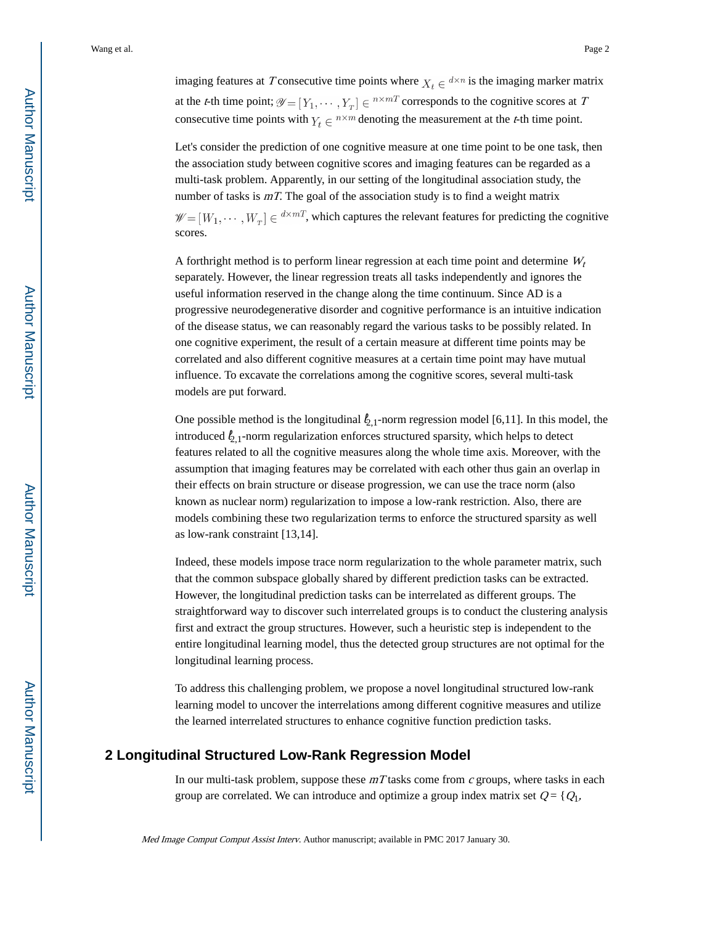imaging features at T consecutive time points where  $X_t \in \mathbb{R}^{d \times n}$  is the imaging marker matrix at the *t*-th time point;  $\mathcal{Y} = [Y_1, \cdots, Y_T] \in \mathbb{R}^{n \times m}$  corresponds to the cognitive scores at T consecutive time points with  $Y_t \in \mathbb{R}^{n \times m}$  denoting the measurement at the t-th time point.

Let's consider the prediction of one cognitive measure at one time point to be one task, then the association study between cognitive scores and imaging features can be regarded as a multi-task problem. Apparently, in our setting of the longitudinal association study, the number of tasks is  $mT$ . The goal of the association study is to find a weight matrix

 $\mathscr{W} = [W_1, \cdots, W_T] \in \mathscr{Q} \times \mathscr{P}$ , which captures the relevant features for predicting the cognitive scores.

A forthright method is to perform linear regression at each time point and determine  $W_t$ separately. However, the linear regression treats all tasks independently and ignores the useful information reserved in the change along the time continuum. Since AD is a progressive neurodegenerative disorder and cognitive performance is an intuitive indication of the disease status, we can reasonably regard the various tasks to be possibly related. In one cognitive experiment, the result of a certain measure at different time points may be correlated and also different cognitive measures at a certain time point may have mutual influence. To excavate the correlations among the cognitive scores, several multi-task models are put forward.

One possible method is the longitudinal  $\ell_{2,1}$ -norm regression model [6,11]. In this model, the introduced  $\ell_{2,1}$ -norm regularization enforces structured sparsity, which helps to detect features related to all the cognitive measures along the whole time axis. Moreover, with the assumption that imaging features may be correlated with each other thus gain an overlap in their effects on brain structure or disease progression, we can use the trace norm (also known as nuclear norm) regularization to impose a low-rank restriction. Also, there are models combining these two regularization terms to enforce the structured sparsity as well as low-rank constraint [13,14].

Indeed, these models impose trace norm regularization to the whole parameter matrix, such that the common subspace globally shared by different prediction tasks can be extracted. However, the longitudinal prediction tasks can be interrelated as different groups. The straightforward way to discover such interrelated groups is to conduct the clustering analysis first and extract the group structures. However, such a heuristic step is independent to the entire longitudinal learning model, thus the detected group structures are not optimal for the longitudinal learning process.

To address this challenging problem, we propose a novel longitudinal structured low-rank learning model to uncover the interrelations among different cognitive measures and utilize the learned interrelated structures to enhance cognitive function prediction tasks.

#### **2 Longitudinal Structured Low-Rank Regression Model**

In our multi-task problem, suppose these  $mT$  tasks come from c groups, where tasks in each group are correlated. We can introduce and optimize a group index matrix set  $Q = \{Q_1, Q_2\}$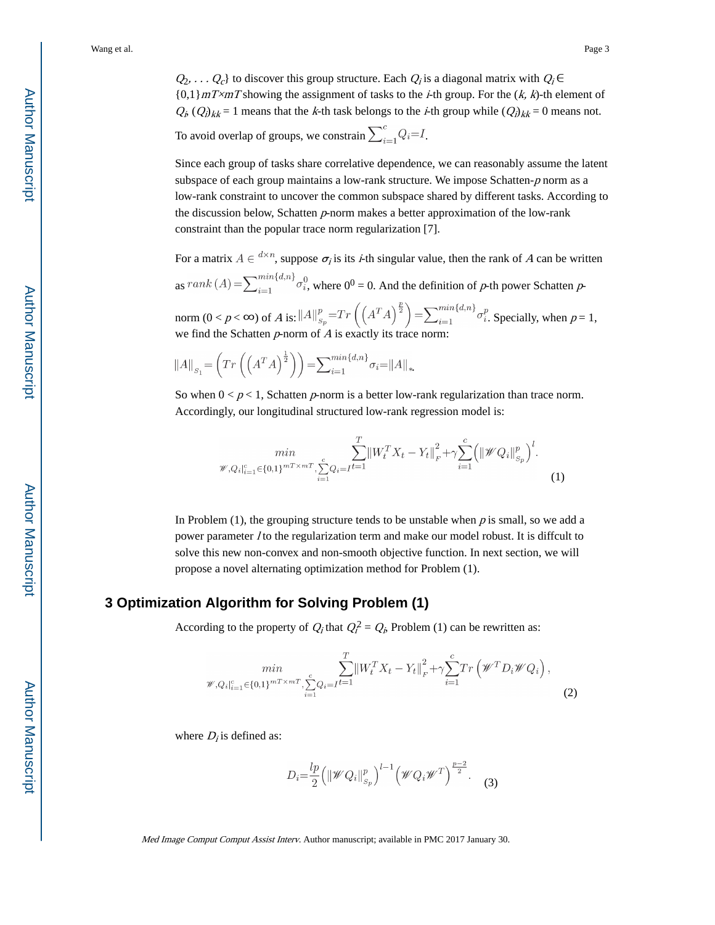$Q_2, \ldots, Q_c$  to discover this group structure. Each  $Q_i$  is a diagonal matrix with  $Q_i \in$  ${0,1}\,mT\times mT$  showing the assignment of tasks to the *i*-th group. For the (*k*, *k*)-th element of  $Q_i$ ,  $(Q_i)_{kk} = 1$  means that the *k*-th task belongs to the *i*-th group while  $(Q_i)_{kk} = 0$  means not. To avoid overlap of groups, we constrain  $\sum_{i=1}^c Q_i = I$ 

Since each group of tasks share correlative dependence, we can reasonably assume the latent subspace of each group maintains a low-rank structure. We impose Schatten- $p$  norm as a low-rank constraint to uncover the common subspace shared by different tasks. According to the discussion below, Schatten  $p$ -norm makes a better approximation of the low-rank constraint than the popular trace norm regularization [7].

For a matrix  $A \in \alpha^{\alpha}$ , suppose  $\sigma_i$  is its *i*-th singular value, then the rank of A can be written as  $rank(A) = \sum_{i=1}^{min\{u_i, v_j\}} \sigma_i^0$ , where  $0^0 = 0$ . And the definition of p-th power Schatten p-

norm  $(0 < p < \infty)$  of A is:  $||A||_{S_p}^p = Tr\left(\left(A^T A\right)^{\frac{p}{2}}\right) = \sum_{i=1}^{min\{d,n\}} \sigma_i^p$ . Specially, when  $p = 1$ , we find the Schatten  $p$ -norm of  $A$  is exactly its trace norm:

.

$$
\|A\|_{S_1} = \left( Tr \left( \left( A^T A \right)^{\frac{1}{2}} \right) \right) = \sum_{i=1}^{min\{d,n\}} \sigma_i = \|A\|_*
$$

So when  $0 < p < 1$ , Schatten *p*-norm is a better low-rank regularization than trace norm. Accordingly, our longitudinal structured low-rank regression model is:

$$
\min_{\mathcal{W}, Q_i|_{i=1}^c \in \{0,1\}^{mT \times mT}, \sum_{i=1}^c Q_i = I^{t=1}} \left\| W_t^T X_t - Y_t \right\|_F^2 + \gamma \sum_{i=1}^c \left( \left\| \mathcal{W} Q_i \right\|_{S_p}^p \right)^l.
$$
\n(1)

In Problem  $(1)$ , the grouping structure tends to be unstable when  $p$  is small, so we add a power parameter l to the regularization term and make our model robust. It is diffcult to solve this new non-convex and non-smooth objective function. In next section, we will propose a novel alternating optimization method for Problem (1).

## **3 Optimization Algorithm for Solving Problem (1)**

According to the property of  $Q_i$  that  $Q_i^2 = Q_i$ , Problem (1) can be rewritten as:

$$
\min_{\mathscr{W}, Q_i|_{i=1}^c \in \{0,1\}^{mT \times mT}, \sum_{i=1}^c Q_i = I^{t=1}} \left\| W_t^T X_t - Y_t \right\|_F^2 + \gamma \sum_{i=1}^c Tr\left(\mathscr{W}^T D_i \mathscr{W} Q_i\right),\tag{2}
$$

where  $D_i$  is defined as:

$$
D_i = \frac{lp}{2} \left( \left\| \mathcal{W} Q_i \right\|_{S_p}^p \right)^{l-1} \left( \mathcal{W} Q_i \mathcal{W}^T \right)^{\frac{p-2}{2}}.
$$
 (3)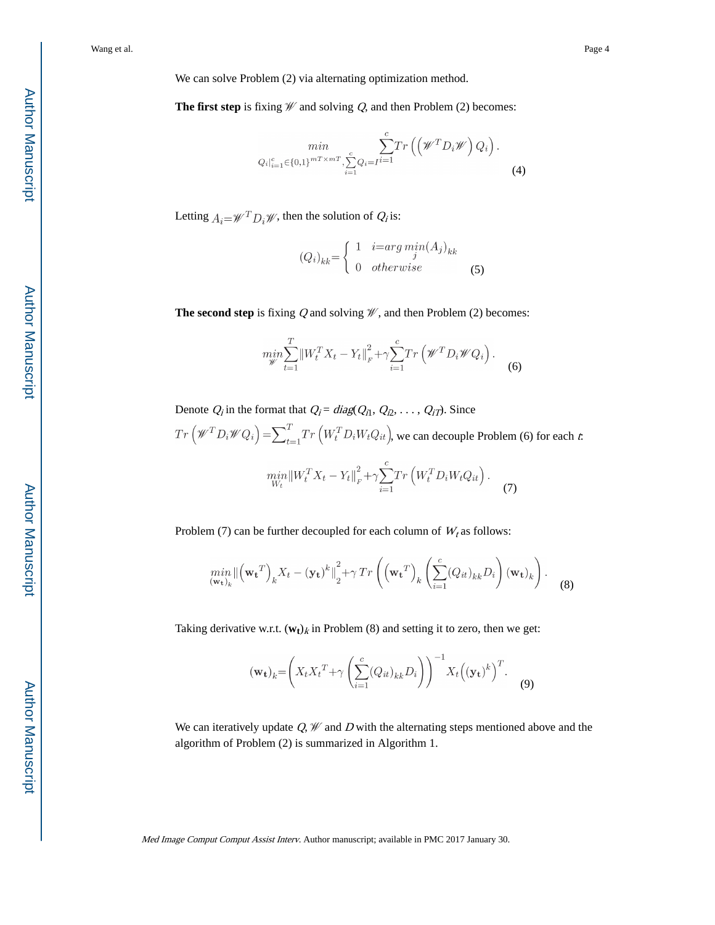We can solve Problem (2) via alternating optimization method.

**The first step** is fixing  $W$  and solving Q, and then Problem (2) becomes:

$$
\min_{Q_i|_{i=1}^c \in \{0,1\}^{mT \times mT}, \sum_{i=1}^c Q_i = I^{i=1}} \sum_{i=1}^c Tr\left(\left(\mathscr{W}^T D_i \mathscr{W}\right) Q_i\right).
$$
\n(4)

Letting  $A_i = \mathcal{W}^T D_i \mathcal{W}$ , then the solution of  $Q_i$  is:

$$
(Q_i)_{kk} = \begin{cases} 1 & i = \arg\min_j (A_j)_{kk} \\ 0 & \text{otherwise} \end{cases} \tag{5}
$$

**The second step** is fixing  $Q$  and solving  $W$ , and then Problem (2) becomes:

$$
\min_{\mathscr{W}} \sum_{t=1}^{T} \|W_t^T X_t - Y_t\|_F^2 + \gamma \sum_{i=1}^{c} Tr\left(\mathscr{W}^T D_i \mathscr{W} Q_i\right). \tag{6}
$$

Denote  $Q_i$  in the format that  $Q_i = diag(Q_{i1}, Q_{i2}, \ldots, Q_{iT})$ . Since  $Tr\left(\mathcal{W}^TD_i\mathcal{W}Q_i\right) = \sum_{t=1}^T Tr\left(W_t^TD_iW_tQ_{it}\right)$ , we can decouple Problem (6) for each *t*:  $\min_{W_t}\left\|W_t^TX_t-Y_t\right\|_F^2 + \gamma \overset{c}{\underset{i=1}{\sum}}Tr\left(W_t^TD_iW_tQ_{it}\right).$ (7)

Problem (7) can be further decoupled for each column of  $W_t$  as follows:

$$
\min_{\left(\mathbf{w_t}\right)_k} \left\| \left(\mathbf{w_t}^T\right)_k X_t - \left(\mathbf{y_t}\right)^k \right\|_2^2 + \gamma \operatorname{Tr} \left( \left(\mathbf{w_t}^T\right)_k \left(\sum_{i=1}^c (Q_{it})_{kk} D_i\right) \left(\mathbf{w_t}\right)_k \right). \tag{8}
$$

Taking derivative w.r.t.  $(\mathbf{w}_t)_k$  in Problem (8) and setting it to zero, then we get:

$$
(\mathbf{w_t})_k = \left( X_t X_t^T + \gamma \left( \sum_{i=1}^c (Q_{it})_{kk} D_i \right) \right)^{-1} X_t \left( (\mathbf{y_t})^k \right)^T.
$$
 (9)

We can iteratively update  $Q$ ,  $\mathcal W$  and  $D$  with the alternating steps mentioned above and the algorithm of Problem (2) is summarized in Algorithm 1.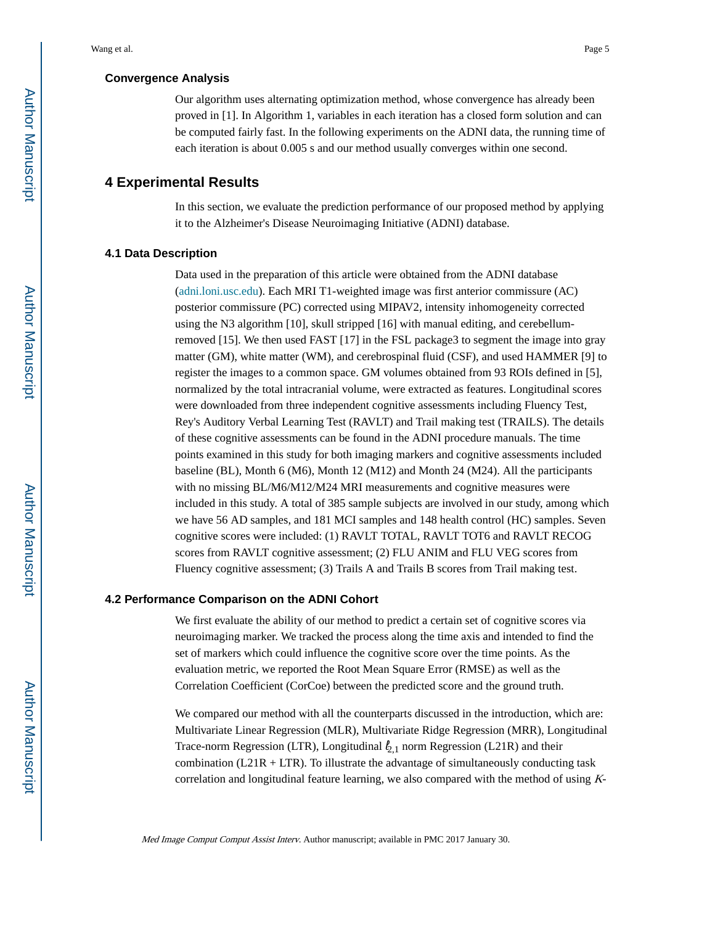#### **Convergence Analysis**

Our algorithm uses alternating optimization method, whose convergence has already been proved in [1]. In Algorithm 1, variables in each iteration has a closed form solution and can be computed fairly fast. In the following experiments on the ADNI data, the running time of each iteration is about 0.005 s and our method usually converges within one second.

### **4 Experimental Results**

In this section, we evaluate the prediction performance of our proposed method by applying it to the Alzheimer's Disease Neuroimaging Initiative (ADNI) database.

#### **4.1 Data Description**

Data used in the preparation of this article were obtained from the ADNI database [\(adni.loni.usc.edu](http://adni.loni.usc.edu)). Each MRI T1-weighted image was first anterior commissure (AC) posterior commissure (PC) corrected using MIPAV2, intensity inhomogeneity corrected using the N3 algorithm [10], skull stripped [16] with manual editing, and cerebellumremoved [15]. We then used FAST [17] in the FSL package3 to segment the image into gray matter (GM), white matter (WM), and cerebrospinal fluid (CSF), and used HAMMER [9] to register the images to a common space. GM volumes obtained from 93 ROIs defined in [5], normalized by the total intracranial volume, were extracted as features. Longitudinal scores were downloaded from three independent cognitive assessments including Fluency Test, Rey's Auditory Verbal Learning Test (RAVLT) and Trail making test (TRAILS). The details of these cognitive assessments can be found in the ADNI procedure manuals. The time points examined in this study for both imaging markers and cognitive assessments included baseline (BL), Month 6 (M6), Month 12 (M12) and Month 24 (M24). All the participants with no missing BL/M6/M12/M24 MRI measurements and cognitive measures were included in this study. A total of 385 sample subjects are involved in our study, among which we have 56 AD samples, and 181 MCI samples and 148 health control (HC) samples. Seven cognitive scores were included: (1) RAVLT TOTAL, RAVLT TOT6 and RAVLT RECOG scores from RAVLT cognitive assessment; (2) FLU ANIM and FLU VEG scores from Fluency cognitive assessment; (3) Trails A and Trails B scores from Trail making test.

#### **4.2 Performance Comparison on the ADNI Cohort**

We first evaluate the ability of our method to predict a certain set of cognitive scores via neuroimaging marker. We tracked the process along the time axis and intended to find the set of markers which could influence the cognitive score over the time points. As the evaluation metric, we reported the Root Mean Square Error (RMSE) as well as the Correlation Coefficient (CorCoe) between the predicted score and the ground truth.

We compared our method with all the counterparts discussed in the introduction, which are: Multivariate Linear Regression (MLR), Multivariate Ridge Regression (MRR), Longitudinal Trace-norm Regression (LTR), Longitudinal  $\ell_{2,1}$  norm Regression (L21R) and their combination ( $L21R + LTR$ ). To illustrate the advantage of simultaneously conducting task correlation and longitudinal feature learning, we also compared with the method of using K-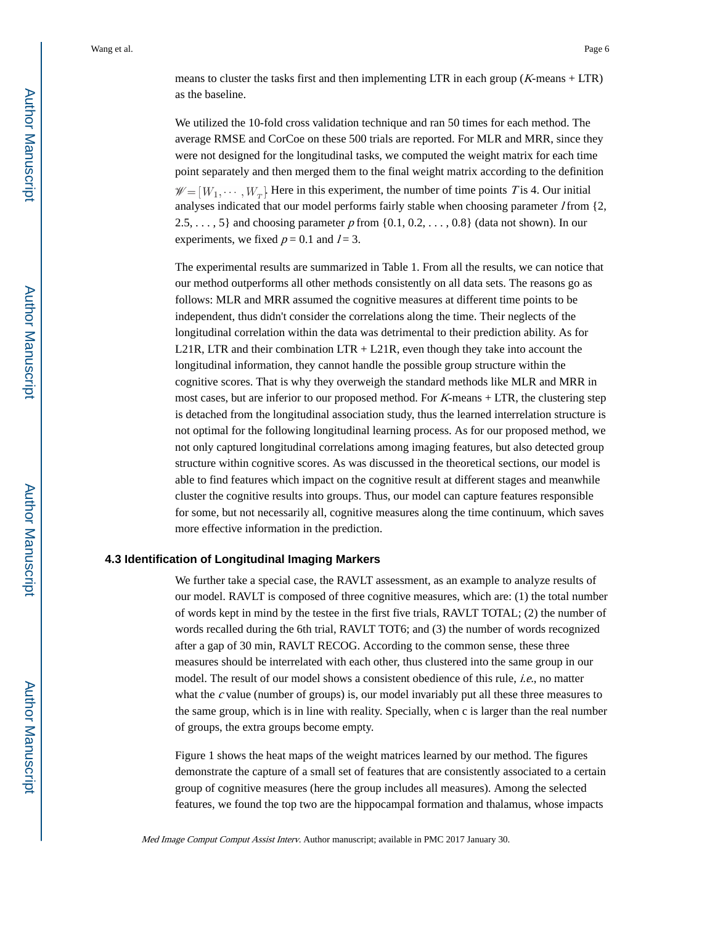means to cluster the tasks first and then implementing LTR in each group ( $K$ -means + LTR) as the baseline.

We utilized the 10-fold cross validation technique and ran 50 times for each method. The average RMSE and CorCoe on these 500 trials are reported. For MLR and MRR, since they were not designed for the longitudinal tasks, we computed the weight matrix for each time point separately and then merged them to the final weight matrix according to the definition  $W = [W_1, \dots, W_r]$ . Here in this experiment, the number of time points T is 4. Our initial analyses indicated that our model performs fairly stable when choosing parameter  $I$  from {2, 2.5, . . . , 5} and choosing parameter p from  $\{0.1, 0.2, \ldots, 0.8\}$  (data not shown). In our experiments, we fixed  $p = 0.1$  and  $l = 3$ .

The experimental results are summarized in Table 1. From all the results, we can notice that our method outperforms all other methods consistently on all data sets. The reasons go as follows: MLR and MRR assumed the cognitive measures at different time points to be independent, thus didn't consider the correlations along the time. Their neglects of the longitudinal correlation within the data was detrimental to their prediction ability. As for L21R, LTR and their combination  $LTR + L21R$ , even though they take into account the longitudinal information, they cannot handle the possible group structure within the cognitive scores. That is why they overweigh the standard methods like MLR and MRR in most cases, but are inferior to our proposed method. For  $K$ -means  $+ LTR$ , the clustering step is detached from the longitudinal association study, thus the learned interrelation structure is not optimal for the following longitudinal learning process. As for our proposed method, we not only captured longitudinal correlations among imaging features, but also detected group structure within cognitive scores. As was discussed in the theoretical sections, our model is able to find features which impact on the cognitive result at different stages and meanwhile cluster the cognitive results into groups. Thus, our model can capture features responsible for some, but not necessarily all, cognitive measures along the time continuum, which saves more effective information in the prediction.

#### **4.3 Identification of Longitudinal Imaging Markers**

We further take a special case, the RAVLT assessment, as an example to analyze results of our model. RAVLT is composed of three cognitive measures, which are: (1) the total number of words kept in mind by the testee in the first five trials, RAVLT TOTAL; (2) the number of words recalled during the 6th trial, RAVLT TOT6; and (3) the number of words recognized after a gap of 30 min, RAVLT RECOG. According to the common sense, these three measures should be interrelated with each other, thus clustered into the same group in our model. The result of our model shows a consistent obedience of this rule, i.e., no matter what the  $c$  value (number of groups) is, our model invariably put all these three measures to the same group, which is in line with reality. Specially, when c is larger than the real number of groups, the extra groups become empty.

Figure 1 shows the heat maps of the weight matrices learned by our method. The figures demonstrate the capture of a small set of features that are consistently associated to a certain group of cognitive measures (here the group includes all measures). Among the selected features, we found the top two are the hippocampal formation and thalamus, whose impacts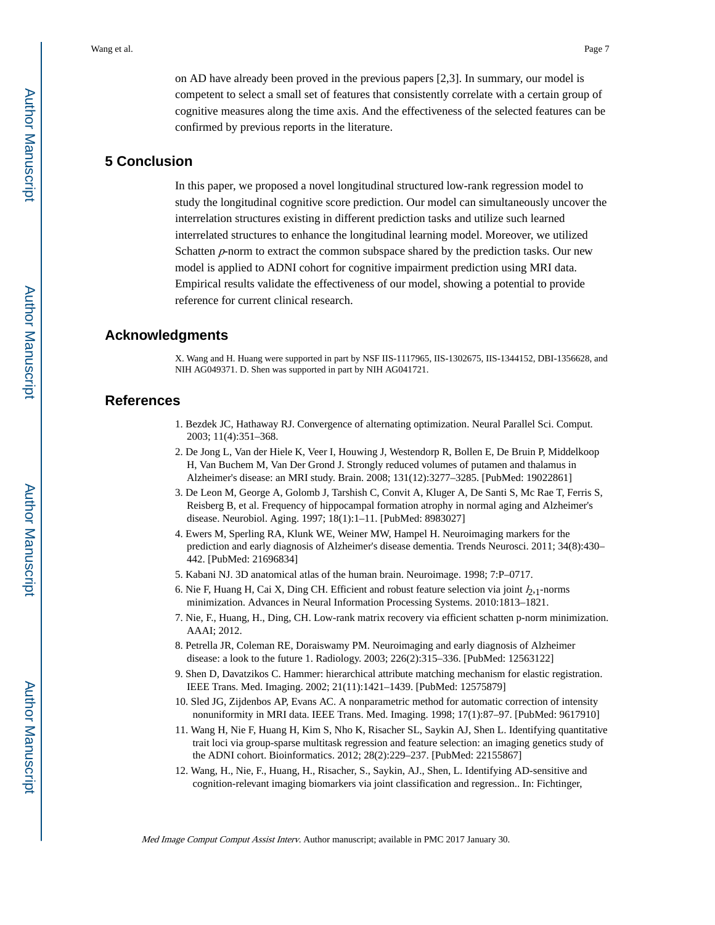on AD have already been proved in the previous papers [2,3]. In summary, our model is competent to select a small set of features that consistently correlate with a certain group of cognitive measures along the time axis. And the effectiveness of the selected features can be confirmed by previous reports in the literature.

## **5 Conclusion**

In this paper, we proposed a novel longitudinal structured low-rank regression model to study the longitudinal cognitive score prediction. Our model can simultaneously uncover the interrelation structures existing in different prediction tasks and utilize such learned interrelated structures to enhance the longitudinal learning model. Moreover, we utilized Schatten  $p$ -norm to extract the common subspace shared by the prediction tasks. Our new model is applied to ADNI cohort for cognitive impairment prediction using MRI data. Empirical results validate the effectiveness of our model, showing a potential to provide reference for current clinical research.

#### **Acknowledgments**

X. Wang and H. Huang were supported in part by NSF IIS-1117965, IIS-1302675, IIS-1344152, DBI-1356628, and NIH AG049371. D. Shen was supported in part by NIH AG041721.

## **References**

- 1. Bezdek JC, Hathaway RJ. Convergence of alternating optimization. Neural Parallel Sci. Comput. 2003; 11(4):351–368.
- 2. De Jong L, Van der Hiele K, Veer I, Houwing J, Westendorp R, Bollen E, De Bruin P, Middelkoop H, Van Buchem M, Van Der Grond J. Strongly reduced volumes of putamen and thalamus in Alzheimer's disease: an MRI study. Brain. 2008; 131(12):3277–3285. [PubMed: 19022861]
- 3. De Leon M, George A, Golomb J, Tarshish C, Convit A, Kluger A, De Santi S, Mc Rae T, Ferris S, Reisberg B, et al. Frequency of hippocampal formation atrophy in normal aging and Alzheimer's disease. Neurobiol. Aging. 1997; 18(1):1–11. [PubMed: 8983027]
- 4. Ewers M, Sperling RA, Klunk WE, Weiner MW, Hampel H. Neuroimaging markers for the prediction and early diagnosis of Alzheimer's disease dementia. Trends Neurosci. 2011; 34(8):430– 442. [PubMed: 21696834]
- 5. Kabani NJ. 3D anatomical atlas of the human brain. Neuroimage. 1998; 7:P–0717.
- 6. Nie F, Huang H, Cai X, Ding CH. Efficient and robust feature selection via joint  $h_{2,1}$ -norms minimization. Advances in Neural Information Processing Systems. 2010:1813–1821.
- 7. Nie, F., Huang, H., Ding, CH. Low-rank matrix recovery via efficient schatten p-norm minimization. AAAI; 2012.
- 8. Petrella JR, Coleman RE, Doraiswamy PM. Neuroimaging and early diagnosis of Alzheimer disease: a look to the future 1. Radiology. 2003; 226(2):315–336. [PubMed: 12563122]
- 9. Shen D, Davatzikos C. Hammer: hierarchical attribute matching mechanism for elastic registration. IEEE Trans. Med. Imaging. 2002; 21(11):1421–1439. [PubMed: 12575879]
- 10. Sled JG, Zijdenbos AP, Evans AC. A nonparametric method for automatic correction of intensity nonuniformity in MRI data. IEEE Trans. Med. Imaging. 1998; 17(1):87–97. [PubMed: 9617910]
- 11. Wang H, Nie F, Huang H, Kim S, Nho K, Risacher SL, Saykin AJ, Shen L. Identifying quantitative trait loci via group-sparse multitask regression and feature selection: an imaging genetics study of the ADNI cohort. Bioinformatics. 2012; 28(2):229–237. [PubMed: 22155867]
- 12. Wang, H., Nie, F., Huang, H., Risacher, S., Saykin, AJ., Shen, L. Identifying AD-sensitive and cognition-relevant imaging biomarkers via joint classification and regression.. In: Fichtinger,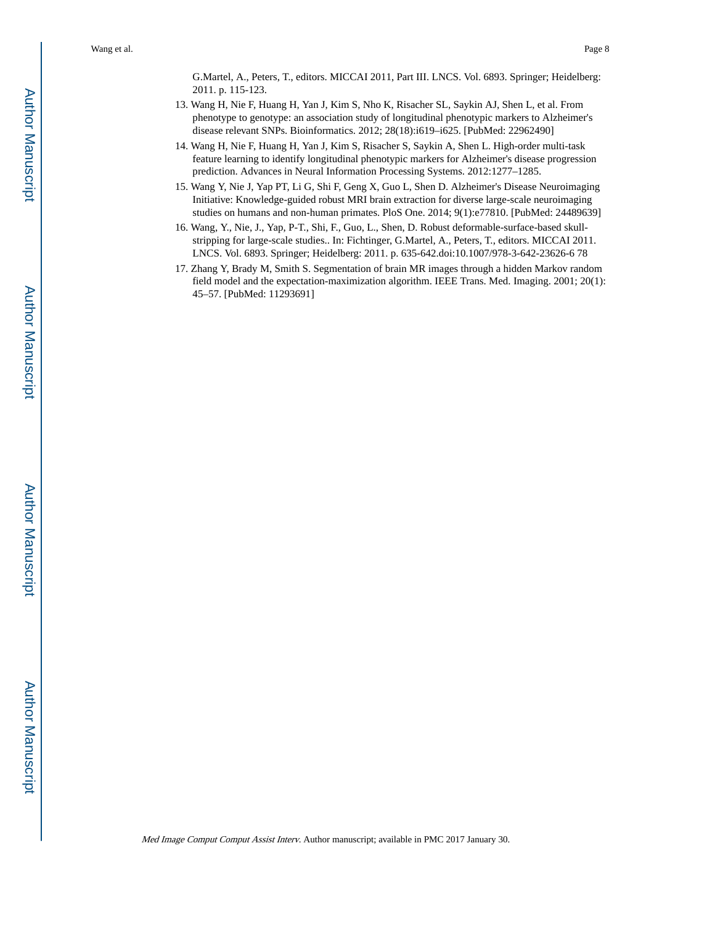G.Martel, A., Peters, T., editors. MICCAI 2011, Part III. LNCS. Vol. 6893. Springer; Heidelberg: 2011. p. 115-123.

- 13. Wang H, Nie F, Huang H, Yan J, Kim S, Nho K, Risacher SL, Saykin AJ, Shen L, et al. From phenotype to genotype: an association study of longitudinal phenotypic markers to Alzheimer's disease relevant SNPs. Bioinformatics. 2012; 28(18):i619–i625. [PubMed: 22962490]
- 14. Wang H, Nie F, Huang H, Yan J, Kim S, Risacher S, Saykin A, Shen L. High-order multi-task feature learning to identify longitudinal phenotypic markers for Alzheimer's disease progression prediction. Advances in Neural Information Processing Systems. 2012:1277–1285.
- 15. Wang Y, Nie J, Yap PT, Li G, Shi F, Geng X, Guo L, Shen D. Alzheimer's Disease Neuroimaging Initiative: Knowledge-guided robust MRI brain extraction for diverse large-scale neuroimaging studies on humans and non-human primates. PloS One. 2014; 9(1):e77810. [PubMed: 24489639]
- 16. Wang, Y., Nie, J., Yap, P-T., Shi, F., Guo, L., Shen, D. Robust deformable-surface-based skullstripping for large-scale studies.. In: Fichtinger, G.Martel, A., Peters, T., editors. MICCAI 2011. LNCS. Vol. 6893. Springer; Heidelberg: 2011. p. 635-642.doi:10.1007/978-3-642-23626-6 78
- 17. Zhang Y, Brady M, Smith S. Segmentation of brain MR images through a hidden Markov random field model and the expectation-maximization algorithm. IEEE Trans. Med. Imaging. 2001; 20(1): 45–57. [PubMed: 11293691]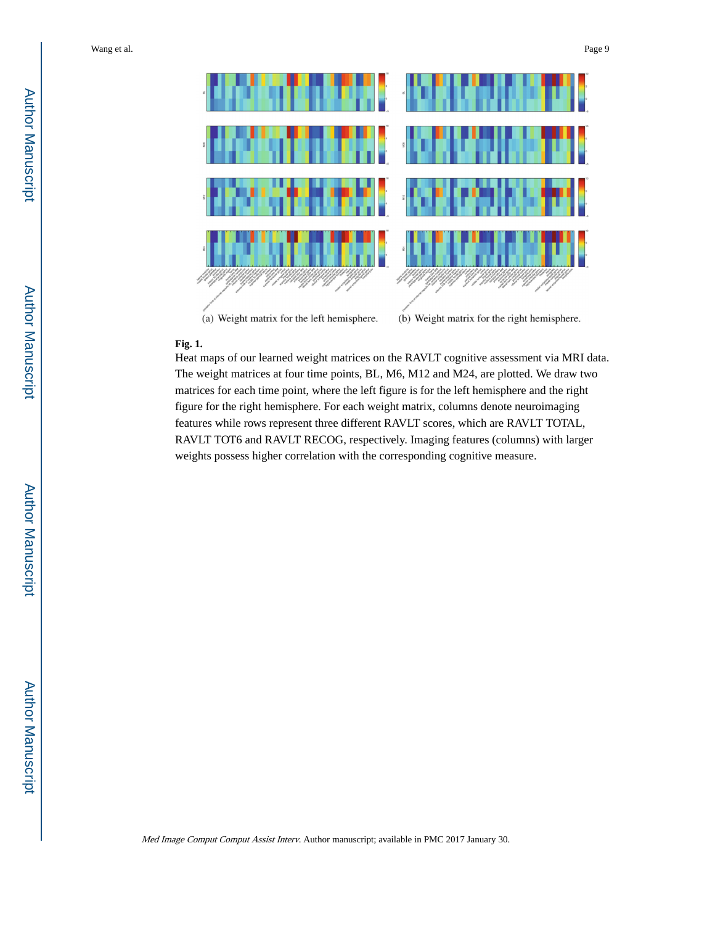

#### **Fig. 1.**

Heat maps of our learned weight matrices on the RAVLT cognitive assessment via MRI data. The weight matrices at four time points, BL, M6, M12 and M24, are plotted. We draw two matrices for each time point, where the left figure is for the left hemisphere and the right figure for the right hemisphere. For each weight matrix, columns denote neuroimaging features while rows represent three different RAVLT scores, which are RAVLT TOTAL, RAVLT TOT6 and RAVLT RECOG, respectively. Imaging features (columns) with larger weights possess higher correlation with the corresponding cognitive measure.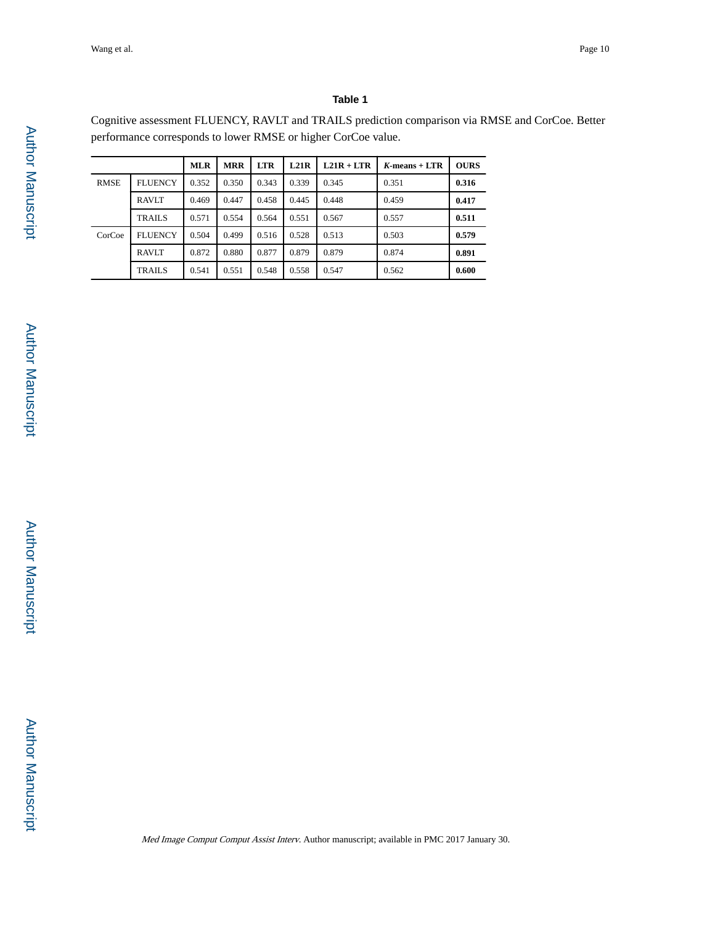#### **Table 1**

Cognitive assessment FLUENCY, RAVLT and TRAILS prediction comparison via RMSE and CorCoe. Better performance corresponds to lower RMSE or higher CorCoe value.

|             |                | <b>MLR</b> | <b>MRR</b> | <b>LTR</b> | L21R  | $L21R + LTR$ | $K$ -means + LTR | <b>OURS</b> |
|-------------|----------------|------------|------------|------------|-------|--------------|------------------|-------------|
| <b>RMSE</b> | <b>FLUENCY</b> | 0.352      | 0.350      | 0.343      | 0.339 | 0.345        | 0.351            | 0.316       |
|             | RAVLT          | 0.469      | 0.447      | 0.458      | 0.445 | 0.448        | 0.459            | 0.417       |
|             | <b>TRAILS</b>  | 0.571      | 0.554      | 0.564      | 0.551 | 0.567        | 0.557            | 0.511       |
| CorCoe      | <b>FLUENCY</b> | 0.504      | 0.499      | 0.516      | 0.528 | 0.513        | 0.503            | 0.579       |
|             | RAVLT          | 0.872      | 0.880      | 0.877      | 0.879 | 0.879        | 0.874            | 0.891       |
|             | <b>TRAILS</b>  | 0.541      | 0.551      | 0.548      | 0.558 | 0.547        | 0.562            | 0.600       |

Author Manuscript Author Manuscript